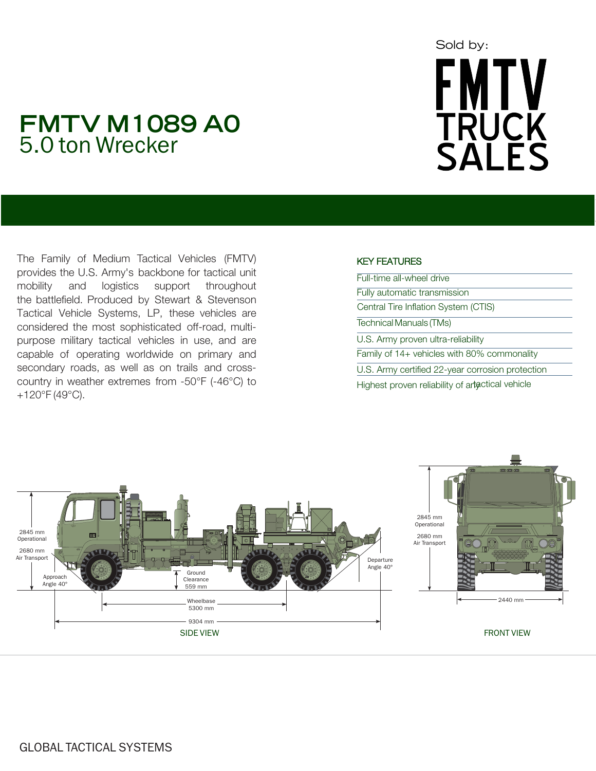# Sold by:FMTV<br>TRUCK<br>SALES

## **FMTV M1089 A0**  5.0 ton Wrecker

The Family of Medium Tactical Vehicles (FMTV) provides the U.S. Army's backbone for tactical unit mobility and logistics support throughout the battlefield. Produced by Stewart & Stevenson Tactical Vehicle Systems, LP, these vehicles are considered the most sophisticated off-road, multipurpose military tactical vehicles in use, and are capable of operating worldwide on primary and secondary roads, as well as on trails and crosscountry in weather extremes from -50°F (-46°C) to +120°F (49°C).

### KEY FEATURES

| Full-time all-wheel drive                        |
|--------------------------------------------------|
| Fully automatic transmission                     |
| Central Tire Inflation System (CTIS)             |
| Technical Manuals (TMs)                          |
| U.S. Army proven ultra-reliability               |
| Family of $14+$ vehicles with 80% commonality    |
| U.S. Army certified 22-year corrosion protection |
| Highest proven reliability of artactical vehicle |